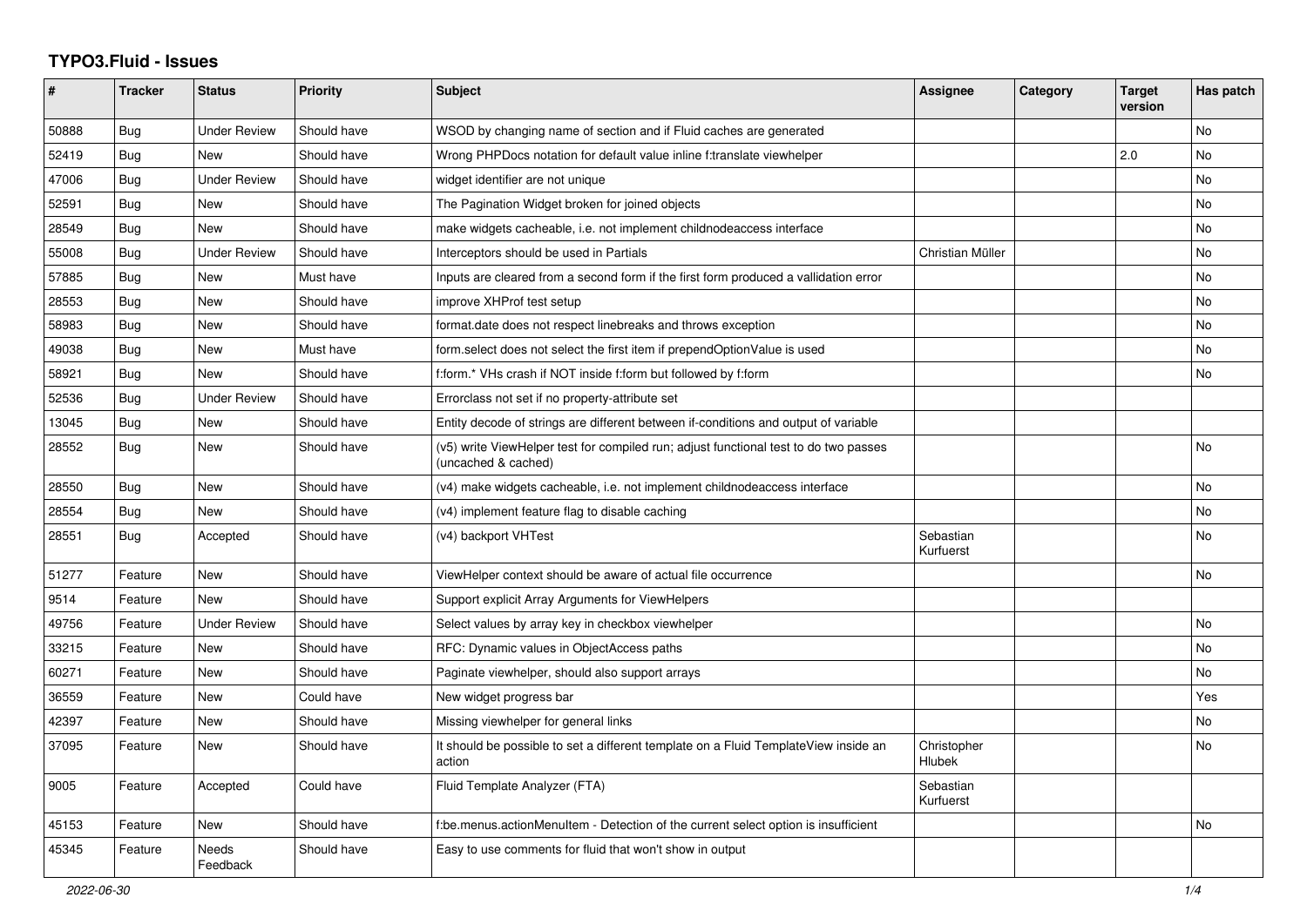## **TYPO3.Fluid - Issues**

| #     | Tracker    | <b>Status</b>       | <b>Priority</b> | <b>Subject</b>                                                                                              | <b>Assignee</b>        | Category | <b>Target</b><br>version | Has patch |
|-------|------------|---------------------|-----------------|-------------------------------------------------------------------------------------------------------------|------------------------|----------|--------------------------|-----------|
| 50888 | <b>Bug</b> | <b>Under Review</b> | Should have     | WSOD by changing name of section and if Fluid caches are generated                                          |                        |          |                          | <b>No</b> |
| 52419 | Bug        | <b>New</b>          | Should have     | Wrong PHPDocs notation for default value inline f:translate viewhelper                                      |                        |          | 2.0                      | <b>No</b> |
| 47006 | Bug        | <b>Under Review</b> | Should have     | widget identifier are not unique                                                                            |                        |          |                          | No        |
| 52591 | Bug        | New                 | Should have     | The Pagination Widget broken for joined objects                                                             |                        |          |                          | No        |
| 28549 | Bug        | <b>New</b>          | Should have     | make widgets cacheable, i.e. not implement childnodeaccess interface                                        |                        |          |                          | No        |
| 55008 | Bug        | <b>Under Review</b> | Should have     | Interceptors should be used in Partials                                                                     | Christian Müller       |          |                          | <b>No</b> |
| 57885 | Bug        | New                 | Must have       | Inputs are cleared from a second form if the first form produced a vallidation error                        |                        |          |                          | No        |
| 28553 | <b>Bug</b> | <b>New</b>          | Should have     | improve XHProf test setup                                                                                   |                        |          |                          | <b>No</b> |
| 58983 | Bug        | New                 | Should have     | format.date does not respect linebreaks and throws exception                                                |                        |          |                          | No        |
| 49038 | <b>Bug</b> | <b>New</b>          | Must have       | form select does not select the first item if prependOptionValue is used                                    |                        |          |                          | No        |
| 58921 | Bug        | <b>New</b>          | Should have     | f:form.* VHs crash if NOT inside f:form but followed by f:form                                              |                        |          |                          | <b>No</b> |
| 52536 | Bug        | <b>Under Review</b> | Should have     | Errorclass not set if no property-attribute set                                                             |                        |          |                          |           |
| 13045 | Bug        | New                 | Should have     | Entity decode of strings are different between if-conditions and output of variable                         |                        |          |                          |           |
| 28552 | Bug        | New                 | Should have     | (v5) write ViewHelper test for compiled run; adjust functional test to do two passes<br>(uncached & cached) |                        |          |                          | No        |
| 28550 | Bug        | <b>New</b>          | Should have     | (v4) make widgets cacheable, i.e. not implement childnodeaccess interface                                   |                        |          |                          | <b>No</b> |
| 28554 | <b>Bug</b> | New                 | Should have     | (v4) implement feature flag to disable caching                                                              |                        |          |                          | No        |
| 28551 | Bug        | Accepted            | Should have     | (v4) backport VHTest                                                                                        | Sebastian<br>Kurfuerst |          |                          | No        |
| 51277 | Feature    | <b>New</b>          | Should have     | ViewHelper context should be aware of actual file occurrence                                                |                        |          |                          | <b>No</b> |
| 9514  | Feature    | <b>New</b>          | Should have     | Support explicit Array Arguments for ViewHelpers                                                            |                        |          |                          |           |
| 49756 | Feature    | <b>Under Review</b> | Should have     | Select values by array key in checkbox viewhelper                                                           |                        |          |                          | <b>No</b> |
| 33215 | Feature    | <b>New</b>          | Should have     | RFC: Dynamic values in ObjectAccess paths                                                                   |                        |          |                          | <b>No</b> |
| 60271 | Feature    | New                 | Should have     | Paginate viewhelper, should also support arrays                                                             |                        |          |                          | No        |
| 36559 | Feature    | New                 | Could have      | New widget progress bar                                                                                     |                        |          |                          | Yes       |
| 42397 | Feature    | <b>New</b>          | Should have     | Missing viewhelper for general links                                                                        |                        |          |                          | No        |
| 37095 | Feature    | <b>New</b>          | Should have     | It should be possible to set a different template on a Fluid TemplateView inside an<br>action               | Christopher<br>Hlubek  |          |                          | <b>No</b> |
| 9005  | Feature    | Accepted            | Could have      | Fluid Template Analyzer (FTA)                                                                               | Sebastian<br>Kurfuerst |          |                          |           |
| 45153 | Feature    | <b>New</b>          | Should have     | f:be.menus.actionMenuItem - Detection of the current select option is insufficient                          |                        |          |                          | <b>No</b> |
| 45345 | Feature    | Needs<br>Feedback   | Should have     | Easy to use comments for fluid that won't show in output                                                    |                        |          |                          |           |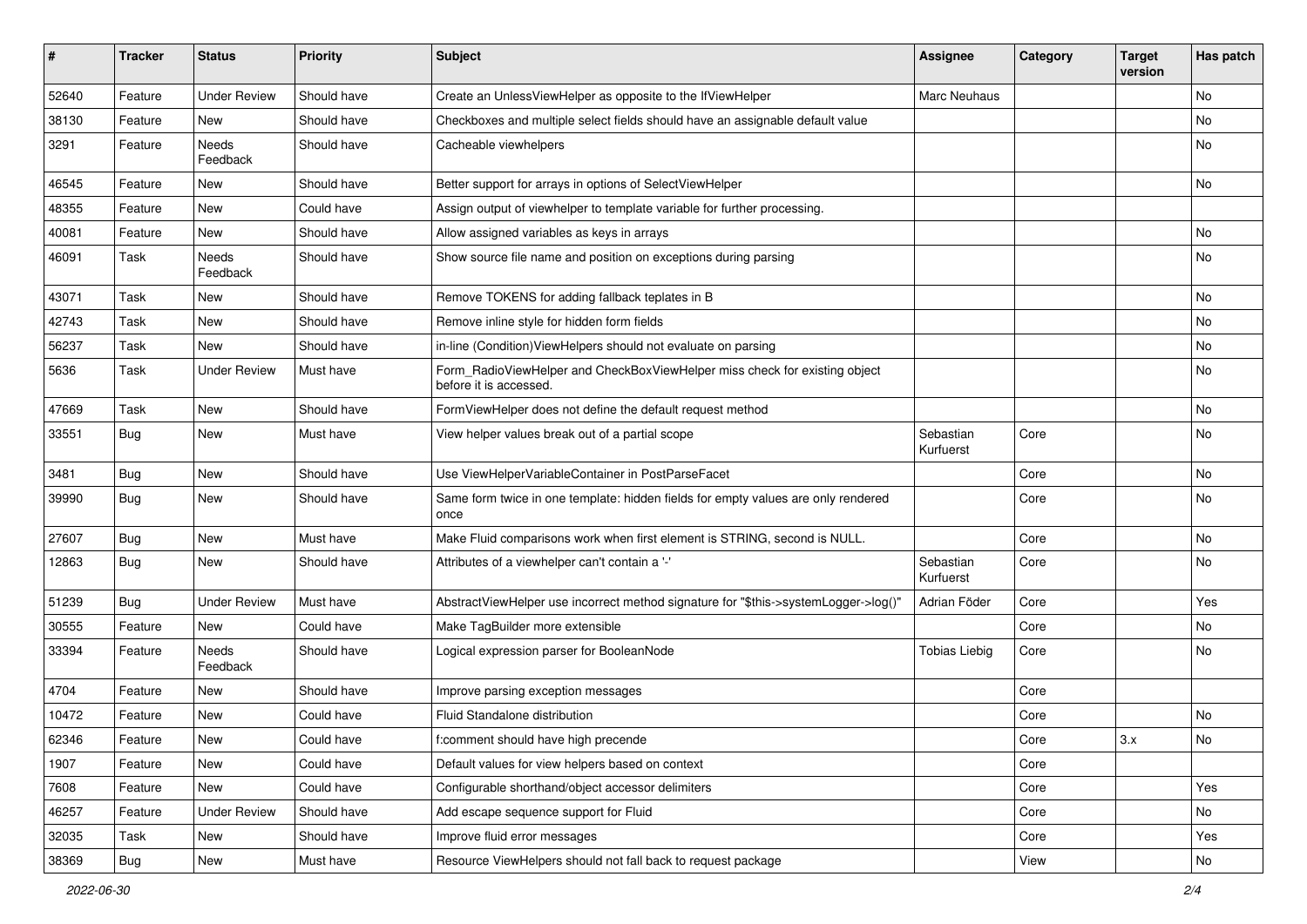| #     | <b>Tracker</b> | <b>Status</b>       | <b>Priority</b> | <b>Subject</b>                                                                                       | <b>Assignee</b>        | Category | <b>Target</b><br>version | Has patch     |
|-------|----------------|---------------------|-----------------|------------------------------------------------------------------------------------------------------|------------------------|----------|--------------------------|---------------|
| 52640 | Feature        | <b>Under Review</b> | Should have     | Create an UnlessViewHelper as opposite to the IfViewHelper                                           | Marc Neuhaus           |          |                          | <b>No</b>     |
| 38130 | Feature        | New                 | Should have     | Checkboxes and multiple select fields should have an assignable default value                        |                        |          |                          | No            |
| 3291  | Feature        | Needs<br>Feedback   | Should have     | Cacheable viewhelpers                                                                                |                        |          |                          | No            |
| 46545 | Feature        | New                 | Should have     | Better support for arrays in options of SelectViewHelper                                             |                        |          |                          | No            |
| 48355 | Feature        | New                 | Could have      | Assign output of viewhelper to template variable for further processing.                             |                        |          |                          |               |
| 40081 | Feature        | New                 | Should have     | Allow assigned variables as keys in arrays                                                           |                        |          |                          | No            |
| 46091 | Task           | Needs<br>Feedback   | Should have     | Show source file name and position on exceptions during parsing                                      |                        |          |                          | <b>No</b>     |
| 43071 | Task           | New                 | Should have     | Remove TOKENS for adding fallback teplates in B                                                      |                        |          |                          | No            |
| 42743 | Task           | New                 | Should have     | Remove inline style for hidden form fields                                                           |                        |          |                          | No            |
| 56237 | Task           | New                 | Should have     | in-line (Condition) ViewHelpers should not evaluate on parsing                                       |                        |          |                          | No            |
| 5636  | Task           | <b>Under Review</b> | Must have       | Form_RadioViewHelper and CheckBoxViewHelper miss check for existing object<br>before it is accessed. |                        |          |                          | No            |
| 47669 | Task           | New                 | Should have     | FormViewHelper does not define the default request method                                            |                        |          |                          | No            |
| 33551 | Bug            | New                 | Must have       | View helper values break out of a partial scope                                                      | Sebastian<br>Kurfuerst | Core     |                          | No            |
| 3481  | Bug            | New                 | Should have     | Use ViewHelperVariableContainer in PostParseFacet                                                    |                        | Core     |                          | No            |
| 39990 | Bug            | New                 | Should have     | Same form twice in one template: hidden fields for empty values are only rendered<br>once            |                        | Core     |                          | No            |
| 27607 | Bug            | New                 | Must have       | Make Fluid comparisons work when first element is STRING, second is NULL.                            |                        | Core     |                          | No            |
| 12863 | Bug            | New                 | Should have     | Attributes of a viewhelper can't contain a '-'                                                       | Sebastian<br>Kurfuerst | Core     |                          | No            |
| 51239 | Bug            | <b>Under Review</b> | Must have       | AbstractViewHelper use incorrect method signature for "\$this->systemLogger->log()"                  | Adrian Föder           | Core     |                          | Yes           |
| 30555 | Feature        | New                 | Could have      | Make TagBuilder more extensible                                                                      |                        | Core     |                          | No            |
| 33394 | Feature        | Needs<br>Feedback   | Should have     | Logical expression parser for BooleanNode                                                            | <b>Tobias Liebig</b>   | Core     |                          | No            |
| 4704  | Feature        | <b>New</b>          | Should have     | Improve parsing exception messages                                                                   |                        | Core     |                          |               |
| 10472 | Feature        | New                 | Could have      | Fluid Standalone distribution                                                                        |                        | Core     |                          | No            |
| 62346 | Feature        | New                 | Could have      | f:comment should have high precende                                                                  |                        | Core     | 3.x                      | $\mathsf{No}$ |
| 1907  | Feature        | New                 | Could have      | Default values for view helpers based on context                                                     |                        | Core     |                          |               |
| 7608  | Feature        | New                 | Could have      | Configurable shorthand/object accessor delimiters                                                    |                        | Core     |                          | Yes           |
| 46257 | Feature        | <b>Under Review</b> | Should have     | Add escape sequence support for Fluid                                                                |                        | Core     |                          | No            |
| 32035 | Task           | New                 | Should have     | Improve fluid error messages                                                                         |                        | Core     |                          | Yes           |
| 38369 | <b>Bug</b>     | New                 | Must have       | Resource ViewHelpers should not fall back to request package                                         |                        | View     |                          | No            |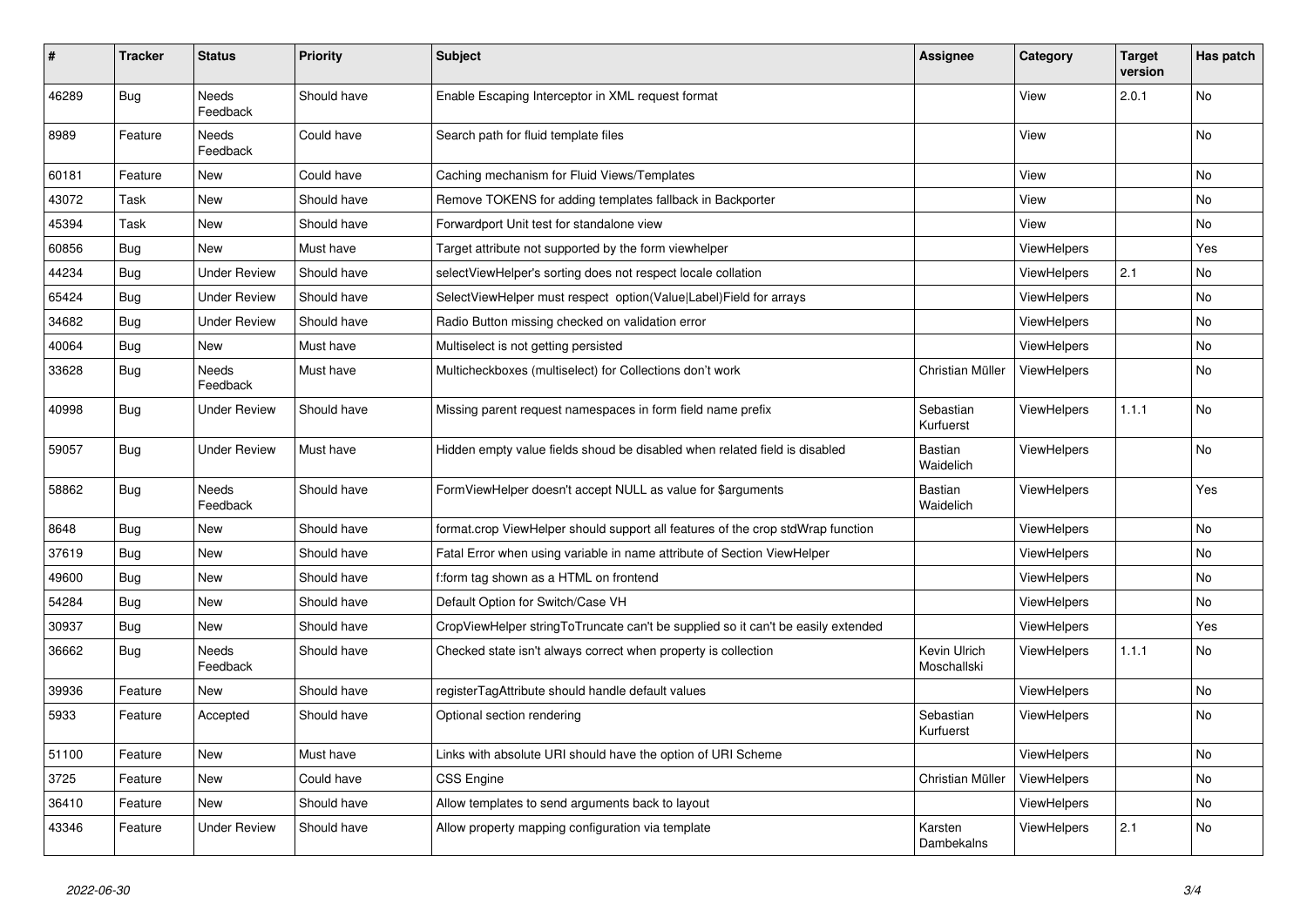| #     | <b>Tracker</b> | <b>Status</b>       | <b>Priority</b> | <b>Subject</b>                                                                   | Assignee                    | Category           | <b>Target</b><br>version | Has patch |
|-------|----------------|---------------------|-----------------|----------------------------------------------------------------------------------|-----------------------------|--------------------|--------------------------|-----------|
| 46289 | <b>Bug</b>     | Needs<br>Feedback   | Should have     | Enable Escaping Interceptor in XML request format                                |                             | View               | 2.0.1                    | <b>No</b> |
| 8989  | Feature        | Needs<br>Feedback   | Could have      | Search path for fluid template files                                             |                             | View               |                          | No        |
| 60181 | Feature        | New                 | Could have      | Caching mechanism for Fluid Views/Templates                                      |                             | View               |                          | <b>No</b> |
| 43072 | Task           | New                 | Should have     | Remove TOKENS for adding templates fallback in Backporter                        |                             | View               |                          | No        |
| 45394 | Task           | New                 | Should have     | Forwardport Unit test for standalone view                                        |                             | View               |                          | No        |
| 60856 | Bug            | New                 | Must have       | Target attribute not supported by the form viewhelper                            |                             | <b>ViewHelpers</b> |                          | Yes       |
| 44234 | <b>Bug</b>     | <b>Under Review</b> | Should have     | selectViewHelper's sorting does not respect locale collation                     |                             | <b>ViewHelpers</b> | 2.1                      | No        |
| 65424 | Bug            | <b>Under Review</b> | Should have     | SelectViewHelper must respect option(Value Label)Field for arrays                |                             | ViewHelpers        |                          | No        |
| 34682 | <b>Bug</b>     | Under Review        | Should have     | Radio Button missing checked on validation error                                 |                             | <b>ViewHelpers</b> |                          | <b>No</b> |
| 40064 | Bug            | New                 | Must have       | Multiselect is not getting persisted                                             |                             | ViewHelpers        |                          | No        |
| 33628 | Bug            | Needs<br>Feedback   | Must have       | Multicheckboxes (multiselect) for Collections don't work                         | Christian Müller            | <b>ViewHelpers</b> |                          | No        |
| 40998 | Bug            | <b>Under Review</b> | Should have     | Missing parent request namespaces in form field name prefix                      | Sebastian<br>Kurfuerst      | <b>ViewHelpers</b> | 1.1.1                    | <b>No</b> |
| 59057 | <b>Bug</b>     | Under Review        | Must have       | Hidden empty value fields shoud be disabled when related field is disabled       | <b>Bastian</b><br>Waidelich | <b>ViewHelpers</b> |                          | <b>No</b> |
| 58862 | Bug            | Needs<br>Feedback   | Should have     | FormViewHelper doesn't accept NULL as value for \$arguments                      | Bastian<br>Waidelich        | <b>ViewHelpers</b> |                          | Yes       |
| 8648  | <b>Bug</b>     | New                 | Should have     | format.crop ViewHelper should support all features of the crop stdWrap function  |                             | <b>ViewHelpers</b> |                          | <b>No</b> |
| 37619 | Bug            | New                 | Should have     | Fatal Error when using variable in name attribute of Section ViewHelper          |                             | <b>ViewHelpers</b> |                          | No.       |
| 49600 | <b>Bug</b>     | New                 | Should have     | f:form tag shown as a HTML on frontend                                           |                             | ViewHelpers        |                          | No        |
| 54284 | <b>Bug</b>     | New                 | Should have     | Default Option for Switch/Case VH                                                |                             | ViewHelpers        |                          | No        |
| 30937 | Bug            | New                 | Should have     | CropViewHelper stringToTruncate can't be supplied so it can't be easily extended |                             | ViewHelpers        |                          | Yes       |
| 36662 | Bug            | Needs<br>Feedback   | Should have     | Checked state isn't always correct when property is collection                   | Kevin Ulrich<br>Moschallski | ViewHelpers        | 1.1.1                    | No        |
| 39936 | Feature        | <b>New</b>          | Should have     | registerTagAttribute should handle default values                                |                             | <b>ViewHelpers</b> |                          | <b>No</b> |
| 5933  | Feature        | Accepted            | Should have     | Optional section rendering                                                       | Sebastian<br>Kurfuerst      | <b>ViewHelpers</b> |                          | <b>No</b> |
| 51100 | Feature        | <b>New</b>          | Must have       | Links with absolute URI should have the option of URI Scheme                     |                             | <b>ViewHelpers</b> |                          | <b>No</b> |
| 3725  | Feature        | New                 | Could have      | CSS Engine                                                                       | Christian Müller            | <b>ViewHelpers</b> |                          | No        |
| 36410 | Feature        | New                 | Should have     | Allow templates to send arguments back to layout                                 |                             | ViewHelpers        |                          | No        |
| 43346 | Feature        | <b>Under Review</b> | Should have     | Allow property mapping configuration via template                                | Karsten<br>Dambekalns       | ViewHelpers        | 2.1                      | No        |